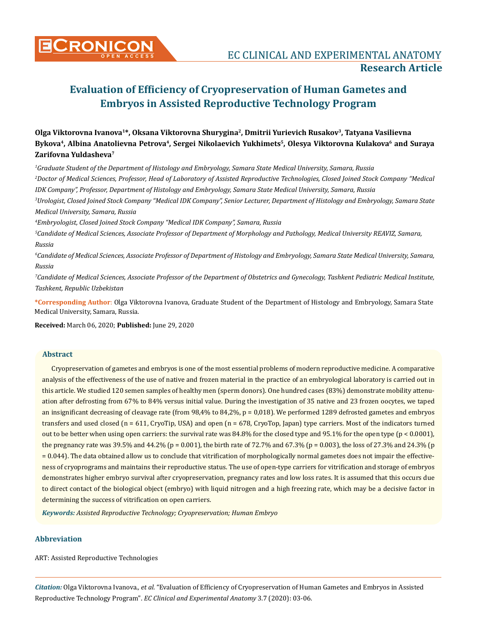# **Evaluation of Efficiency of Cryopreservation of Human Gametes and Embryos in Assisted Reproductive Technology Program**

# **Olga Viktorovna Ivanova<sup>1</sup>\*, Oksana Viktorovna Shurygina<sup>2</sup>, Dmitrii Yurievich Rusakov<sup>3</sup>, Tatyana Vasilievna Bykova<sup>4</sup>, Albina Anatolievna Petrova<sup>4</sup>, Sergei Nikolaevich Yukhimets<sup>5</sup>, Olesya Viktorovna Kulakova<sup>6</sup> and Suraya Zarifovna Yuldasheva<sup>7</sup>**

 *Graduate Student of the Department of Histology and Embryology, Samara State Medical University, Samara, Russia Doctor of Medical Sciences, Professor, Head of Laboratory of Assisted Reproductive Technologies, Closed Joined Stock Company "Medical IDK Company", Professor, Department of Histology and Embryology, Samara State Medical University, Samara, Russia Urologist, Closed Joined Stock Company "Medical IDK Company", Senior Lecturer, Department of Histology and Embryology, Samara State* 

*Medical University, Samara, Russia* 

*4 Embryologist, Closed Joined Stock Company "Medical IDK Company", Samara, Russia*

*5 Candidate of Medical Sciences, Associate Professor of Department of Morphology and Pathology, Medical University REAVIZ, Samara, Russia* 

*6 Candidate of Medical Sciences, Associate Professor of Department of Histology and Embryology, Samara State Medical University, Samara, Russia* 

*7 Candidate of Medical Sciences, Associate Professor of the Department of Obstetrics and Gynecology, Tashkent Pediatric Medical Institute, Tashkent, Republic Uzbekistan*

**\*Corresponding Author**: Olga Viktorovna Ivanova, Graduate Student of the Department of Histology and Embryology, Samara State Medical University, Samara, Russia.

**Received:** March 06, 2020; **Published:** June 29, 2020

# **Abstract**

Cryopreservation of gametes and embryos is one of the most essential problems of modern reproductive medicine. A comparative analysis of the effectiveness of the use of native and frozen material in the practice of an embryological laboratory is carried out in this article. We studied 120 semen samples of healthy men (sperm donors). One hundred cases (83%) demonstrate mobility attenuation after defrosting from 67% to 84% versus initial value. During the investigation of 35 native and 23 frozen oocytes, we taped an insignificant decreasing of cleavage rate (from 98,4% to 84,2%, p = 0,018). We performed 1289 defrosted gametes and embryos transfers and used closed ( $n = 611$ , CryoTip, USA) and open ( $n = 678$ , CryoTop, Japan) type carriers. Most of the indicators turned out to be better when using open carriers: the survival rate was 84.8% for the closed type and 95.1% for the open type (p < 0.0001), the pregnancy rate was 39.5% and 44.2% (p = 0.001), the birth rate of 72.7% and 67.3% (p = 0.003), the loss of 27.3% and 24.3% (p = 0.044). The data obtained allow us to conclude that vitrification of morphologically normal gametes does not impair the effectiveness of cryoprograms and maintains their reproductive status. The use of open-type carriers for vitrification and storage of embryos demonstrates higher embryo survival after cryopreservation, pregnancy rates and low loss rates. It is assumed that this occurs due to direct contact of the biological object (embryo) with liquid nitrogen and a high freezing rate, which may be a decisive factor in determining the success of vitrification on open carriers.

*Keywords: Assisted Reproductive Technology; Cryopreservation; Human Embryo* 

# **Abbreviation**

ART: Assisted Reproductive Technologies

*Citation:* Olga Viktorovna Ivanova*., et al.* "Evaluation of Efficiency of Cryopreservation of Human Gametes and Embryos in Assisted Reproductive Technology Program". *EC Clinical and Experimental Anatomy* 3.7 (2020): 03-06.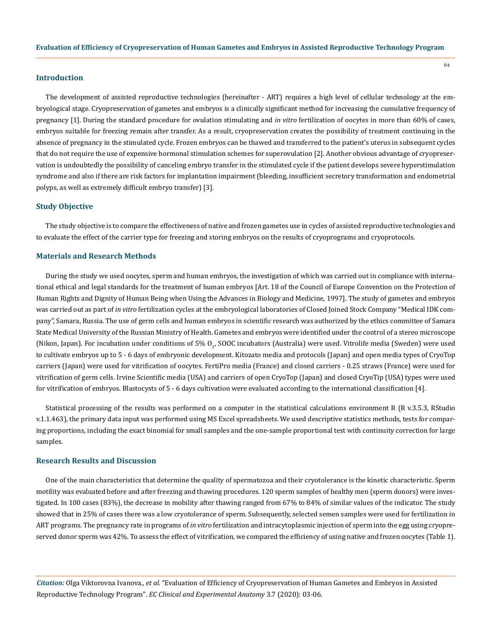## **Introduction**

The development of assisted reproductive technologies (hereinafter - ART) requires a high level of cellular technology at the embryological stage. Cryopreservation of gametes and embryos is a clinically significant method for increasing the cumulative frequency of pregnancy [1]. During the standard procedure for ovulation stimulating and *in vitro* fertilization of oocytes in more than 60% of cases, embryos suitable for freezing remain after transfer. As a result, cryopreservation creates the possibility of treatment continuing in the absence of pregnancy in the stimulated cycle. Frozen embryos can be thawed and transferred to the patient's uterus in subsequent cycles that do not require the use of expensive hormonal stimulation schemes for superovulation [2]. Another obvious advantage of cryopreservation is undoubtedly the possibility of canceling embryo transfer in the stimulated cycle if the patient develops severe hyperstimulation syndrome and also if there are risk factors for implantation impairment (bleeding, insufficient secretory transformation and endometrial polyps, as well as extremely difficult embryo transfer) [3].

#### **Study Objective**

The study objective is to compare the effectiveness of native and frozen gametes use in cycles of assisted reproductive technologies and to evaluate the effect of the carrier type for freezing and storing embryos on the results of cryoprograms and cryoprotocols.

#### **Materials and Research Methods**

During the study we used oocytes, sperm and human embryos, the investigation of which was carried out in compliance with international ethical and legal standards for the treatment of human embryos [Art. 18 of the Council of Europe Convention on the Protection of Human Rights and Dignity of Human Being when Using the Advances in Biology and Medicine, 1997]. The study of gametes and embryos was carried out as part of *in vitro* fertilization cycles at the embryological laboratories of Closed Joined Stock Company "Medical IDK company", Samara, Russia. The use of germ cells and human embryos in scientific research was authorized by the ethics committee of Samara State Medical University of the Russian Ministry of Health. Gametes and embryos were identified under the control of a stereo microscope (Nikon, Japan). For incubation under conditions of 5%  $0_{2'}$  SOOC incubators (Australia) were used. Vitrolife media (Sweden) were used to cultivate embryos up to 5 - 6 days of embryonic development. Kitozato media and protocols (Japan) and open media types of CryoTop carriers (Japan) were used for vitrification of oocytes. FertiPro media (France) and closed carriers - 0.25 straws (France) were used for vitrification of germ cells. Irvine Scientific media (USA) and carriers of open CryoTop (Japan) and closed CryoTip (USA) types were used for vitrification of embryos. Blastocysts of 5 - 6 days cultivation were evaluated according to the international classification [4].

Statistical processing of the results was performed on a computer in the statistical calculations environment R (R v.3.5.3, RStudio v.1.1.463), the primary data input was performed using MS Excel spreadsheets. We used descriptive statistics methods, tests for comparing proportions, including the exact binomial for small samples and the one-sample proportional test with continuity correction for large samples.

#### **Research Results and Discussion**

One of the main characteristics that determine the quality of spermatozoa and their cryotolerance is the kinetic characteristic. Sperm motility was evaluated before and after freezing and thawing procedures. 120 sperm samples of healthy men (sperm donors) were investigated. In 100 cases (83%), the decrease in mobility after thawing ranged from 67% to 84% of similar values of the indicator. The study showed that in 25% of cases there was a low cryotolerance of sperm. Subsequently, selected semen samples were used for fertilization in ART programs. The pregnancy rate in programs of *in vitro* fertilization and intracytoplasmic injection of sperm into the egg using cryopreserved donor sperm was 42%. To assess the effect of vitrification, we compared the efficiency of using native and frozen oocytes (Table 1).

*Citation:* Olga Viktorovna Ivanova*., et al.* "Evaluation of Efficiency of Cryopreservation of Human Gametes and Embryos in Assisted Reproductive Technology Program". *EC Clinical and Experimental Anatomy* 3.7 (2020): 03-06.

04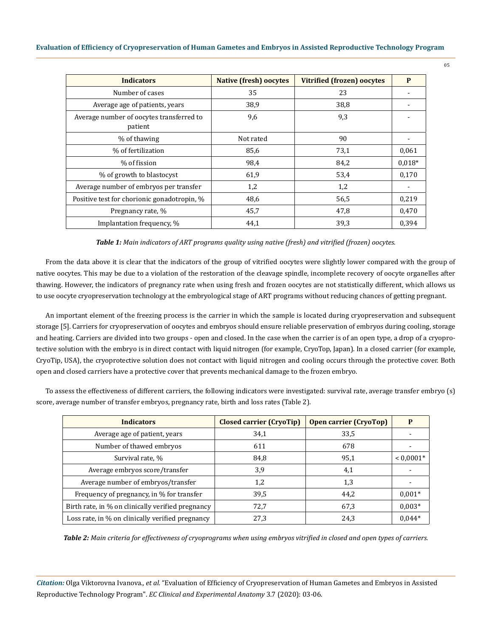| <b>Indicators</b>                                   | <b>Native (fresh) oocytes</b> | <b>Vitrified (frozen) oocytes</b> | P        |
|-----------------------------------------------------|-------------------------------|-----------------------------------|----------|
| Number of cases                                     | 35                            | 23                                |          |
| Average age of patients, years                      | 38,9                          | 38,8                              |          |
| Average number of oocytes transferred to<br>patient | 9,6                           | 9,3                               |          |
| % of thawing                                        | Not rated                     | 90                                |          |
| % of fertilization                                  | 85,6                          | 73,1                              | 0,061    |
| % of fission                                        | 98,4                          | 84,2                              | $0.018*$ |
| % of growth to blastocyst                           | 61,9                          | 53,4                              | 0,170    |
| Average number of embryos per transfer              | 1,2                           | 1,2                               |          |
| Positive test for chorionic gonadotropin, %         | 48,6                          | 56,5                              | 0,219    |
| Pregnancy rate, %                                   | 45,7                          | 47,8                              | 0,470    |
| Implantation frequency, %                           | 44,1                          | 39,3                              | 0.394    |

*Table 1: Main indicators of ART programs quality using native (fresh) and vitrified (frozen) oocytes.*

From the data above it is clear that the indicators of the group of vitrified oocytes were slightly lower compared with the group of native oocytes. This may be due to a violation of the restoration of the cleavage spindle, incomplete recovery of oocyte organelles after thawing. However, the indicators of pregnancy rate when using fresh and frozen oocytes are not statistically different, which allows us to use oocyte cryopreservation technology at the embryological stage of ART programs without reducing chances of getting pregnant.

An important element of the freezing process is the carrier in which the sample is located during cryopreservation and subsequent storage [5]. Carriers for cryopreservation of oocytes and embryos should ensure reliable preservation of embryos during cooling, storage and heating. Carriers are divided into two groups - open and closed. In the case when the carrier is of an open type, a drop of a cryoprotective solution with the embryo is in direct contact with liquid nitrogen (for example, CryoTop, Japan). In a closed carrier (for example, CryoTip, USA), the cryoprotective solution does not contact with liquid nitrogen and cooling occurs through the protective cover. Both open and closed carriers have a protective cover that prevents mechanical damage to the frozen embryo.

To assess the effectiveness of different carriers, the following indicators were investigated: survival rate, average transfer embryo (s) score, average number of transfer embryos, pregnancy rate, birth and loss rates (Table 2).

| <b>Indicators</b>                                 | <b>Closed carrier (CryoTip)</b> | <b>Open carrier (CryoTop)</b> | P           |
|---------------------------------------------------|---------------------------------|-------------------------------|-------------|
| Average age of patient, years                     | 34,1                            | 33,5                          |             |
| Number of thawed embryos                          | 611                             | 678                           |             |
| Survival rate, %                                  | 84,8                            | 95,1                          | $< 0.0001*$ |
| Average embryos score/transfer                    | 3,9                             | 4,1                           |             |
| Average number of embryos/transfer                | 1,2                             | 1,3                           |             |
| Frequency of pregnancy, in % for transfer         | 39,5                            | 44.2                          | $0.001*$    |
| Birth rate, in % on clinically verified pregnancy | 72,7                            | 67,3                          | $0.003*$    |
| Loss rate, in % on clinically verified pregnancy  | 27,3                            | 24,3                          | $0.044*$    |

*Table 2: Main criteria for effectiveness of cryoprograms when using embryos vitrified in closed and open types of carriers.*

*Citation:* Olga Viktorovna Ivanova*., et al.* "Evaluation of Efficiency of Cryopreservation of Human Gametes and Embryos in Assisted Reproductive Technology Program". *EC Clinical and Experimental Anatomy* 3.7 (2020): 03-06.

05